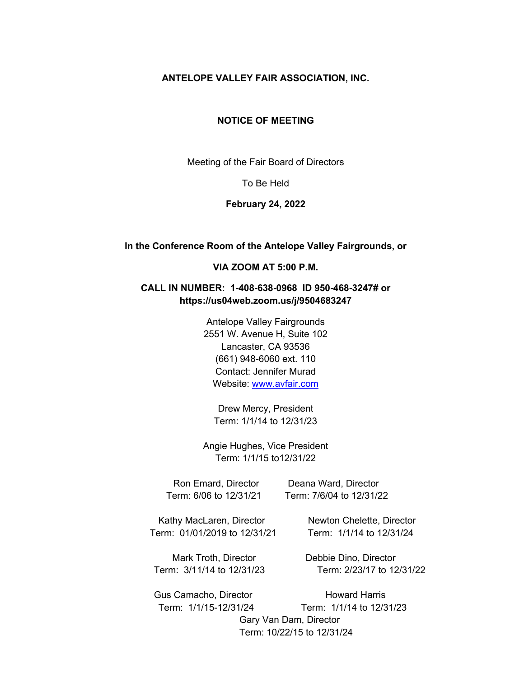#### **ANTELOPE VALLEY FAIR ASSOCIATION, INC.**

#### **NOTICE OF MEETING**

Meeting of the Fair Board of Directors

To Be Held

#### **February 24, 2022**

#### **In the Conference Room of the Antelope Valley Fairgrounds, or**

#### **VIA ZOOM AT 5:00 P.M.**

## **CALL IN NUMBER: 1-408-638-0968 ID 950-468-3247# or https://us04web.zoom.us/j/9504683247**

Antelope Valley Fairgrounds 2551 W. Avenue H, Suite 102 Lancaster, CA 93536 (661) 948-6060 ext. 110 Contact: Jennifer Murad Website: www.avfair.com

Drew Mercy, President Term: 1/1/14 to 12/31/23

Angie Hughes, Vice President Term: 1/1/15 to12/31/22

Ron Emard, Director Deana Ward, Director Term: 6/06 to 12/31/21 Term: 7/6/04 to 12/31/22

Kathy MacLaren, Director Newton Chelette, Director Term: 01/01/2019 to 12/31/21 Term: 1/1/14 to 12/31/24

Mark Troth, Director **Debbie Dino, Director** 

Term: 3/11/14 to 12/31/23 Term: 2/23/17 to 12/31/22

Gus Camacho, Director **Howard Harris**  Term: 1/1/15-12/31/24 Term: 1/1/14 to 12/31/23 Gary Van Dam, Director Term: 10/22/15 to 12/31/24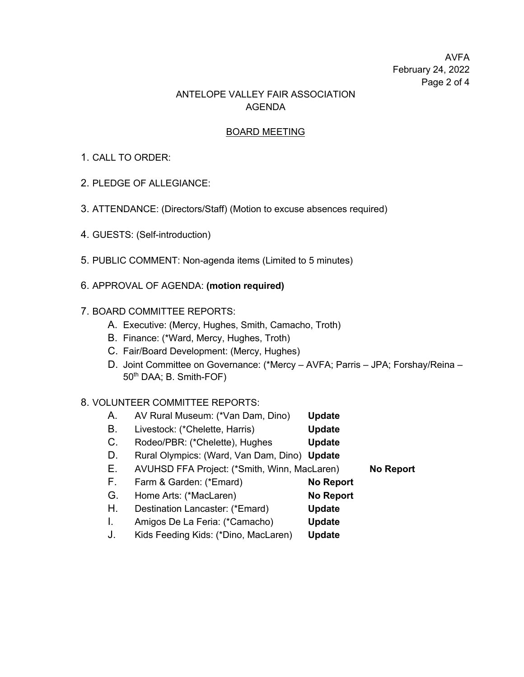# AVFA February 24, 2022 Page 2 of 4

# ANTELOPE VALLEY FAIR ASSOCIATION AGENDA

### BOARD MEETING

## 1. CALL TO ORDER:

- 2. PLEDGE OF ALLEGIANCE:
- 3. ATTENDANCE: (Directors/Staff) (Motion to excuse absences required)
- 4. GUESTS: (Self-introduction)
- 5. PUBLIC COMMENT: Non-agenda items (Limited to 5 minutes)
- 6. APPROVAL OF AGENDA: **(motion required)**

## 7. BOARD COMMITTEE REPORTS:

- A. Executive: (Mercy, Hughes, Smith, Camacho, Troth)
- B. Finance: (\*Ward, Mercy, Hughes, Troth)
- C. Fair/Board Development: (Mercy, Hughes)
- D. Joint Committee on Governance: (\*Mercy AVFA; Parris JPA; Forshay/Reina 50<sup>th</sup> DAA; B. Smith-FOF)

## 8. VOLUNTEER COMMITTEE REPORTS:

- A. AV Rural Museum: (\*Van Dam, Dino) **Update**
- B. Livestock: (\*Chelette, Harris) **Update**
- C. Rodeo/PBR: (\*Chelette), Hughes **Update**
- D. Rural Olympics: (Ward, Van Dam, Dino) **Update**

E. AVUHSD FFA Project: (\*Smith, Winn, MacLaren) **No Report**

- F. Farm & Garden: (\*Emard) **No Report**
- G. Home Arts: (\*MacLaren) **No Report**
- H. Destination Lancaster: (\*Emard) **Update**
- I. Amigos De La Feria: (\*Camacho) **Update**
- J. Kids Feeding Kids: (\*Dino, MacLaren) **Update**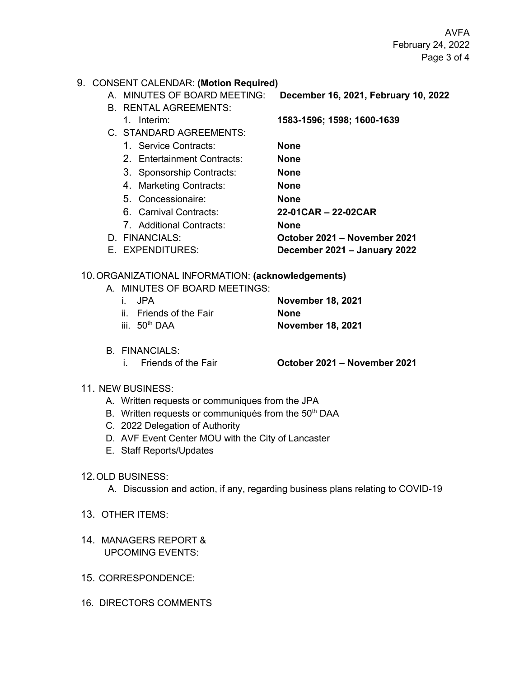AVFA February 24, 2022 Page 3 of 4

### 9. CONSENT CALENDAR: **(Motion Required)**

- A. MINUTES OF BOARD MEETING: **December 16, 2021, February 10, 2022**
- B. RENTAL AGREEMENTS:
	- 1. Interim: **1583-1596; 1598; 1600-1639**
- C. STANDARD AGREEMENTS:

1. Service Contracts: **None**

2. Entertainment Contracts: **None**

- 3. Sponsorship Contracts: **None**
- 4. Marketing Contracts: **None** 5. Concessionaire: **None**
- 6. Carnival Contracts: **22-01CAR – 22-02CAR**
- 7. Additional Contracts: **None** D. FINANCIALS: **October 2021 – November 2021**
- E. EXPENDITURES: **December 2021 – January 2022**

## 10.ORGANIZATIONAL INFORMATION: **(acknowledgements)**

A. MINUTES OF BOARD MEETINGS:

| i. JPA                    | <b>November 18, 2021</b> |
|---------------------------|--------------------------|
| ii. Friends of the Fair   | <b>None</b>              |
| iii. 50 <sup>th</sup> DAA | <b>November 18, 2021</b> |

- B. FINANCIALS:
	-

i. Friends of the Fair **October 2021 – November 2021**

- 11. NEW BUSINESS:
	- A. Written requests or communiques from the JPA
	- B. Written requests or communiqués from the 50<sup>th</sup> DAA
	- C. 2022 Delegation of Authority
	- D. AVF Event Center MOU with the City of Lancaster
	- E. Staff Reports/Updates

## 12.OLD BUSINESS:

- A. Discussion and action, if any, regarding business plans relating to COVID-19
- 13. OTHER ITEMS:
- 14. MANAGERS REPORT & UPCOMING EVENTS:
- 15. CORRESPONDENCE:
- 16. DIRECTORS COMMENTS